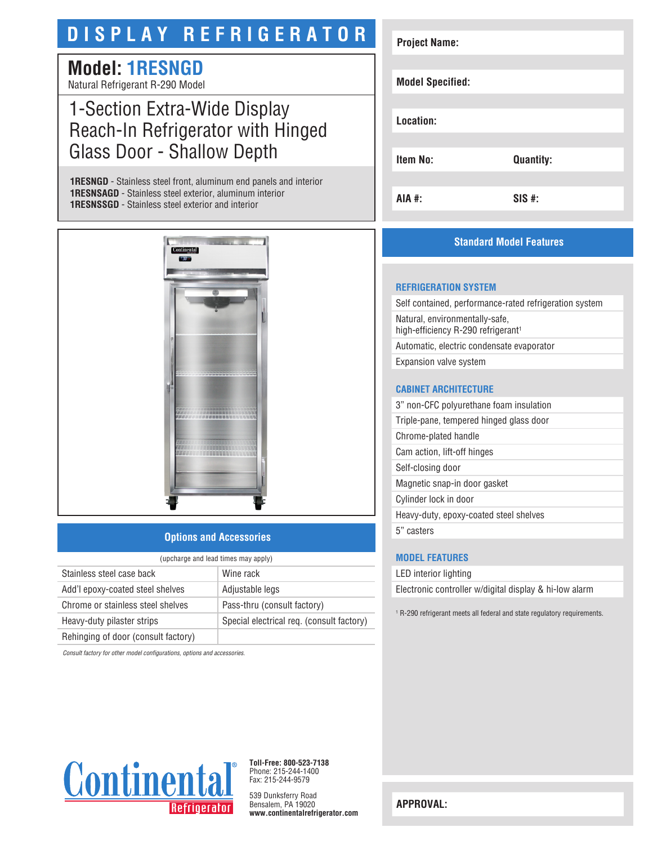# **DISPLAY REFRIGERATOR**

# **Model: 1RESNGD**

Natural Refrigerant R-290 Model

# 1-Section Extra-Wide Display Reach-In Refrigerator with Hinged Glass Door - Shallow Depth

**1RESNGD** - Stainless steel front, aluminum end panels and interior **1RESNSAGD** - Stainless steel exterior, aluminum interior **1RESNSSGD** - Stainless steel exterior and interior



## **Options and Accessories**

| (upcharge and lead times may apply) |                                           |
|-------------------------------------|-------------------------------------------|
| Stainless steel case back           | Wine rack                                 |
| Add'l epoxy-coated steel shelves    | Adjustable legs                           |
| Chrome or stainless steel shelves   | Pass-thru (consult factory)               |
| Heavy-duty pilaster strips          | Special electrical req. (consult factory) |
| Rehinging of door (consult factory) |                                           |

*Consult factory for other model configurations, options and accessories.*



# **Standard Model Features**

#### **REFRIGERATION SYSTEM**

Self contained, performance-rated refrigeration system Natural, environmentally-safe, high-efficiency R-290 refrigerant<sup>1</sup> Automatic, electric condensate evaporator Expansion valve system

#### **CABINET ARCHITECTURE**

3" non-CFC polyurethane foam insulation

Triple-pane, tempered hinged glass door

Chrome-plated handle

Cam action, lift-off hinges

Self-closing door

Magnetic snap-in door gasket Cylinder lock in door

Heavy-duty, epoxy-coated steel shelves

5" casters

## **MODEL FEATURES**

LED interior lighting

Electronic controller w/digital display & hi-low alarm

1 R-290 refrigerant meets all federal and state regulatory requirements.



**Toll-Free: 800-523-7138** Phone: 215-244-1400 Fax: 215-244-9579

539 Dunksferry Road Bensalem, PA 19020 **www.continentalrefrigerator.com** 

**APPROVAL:**